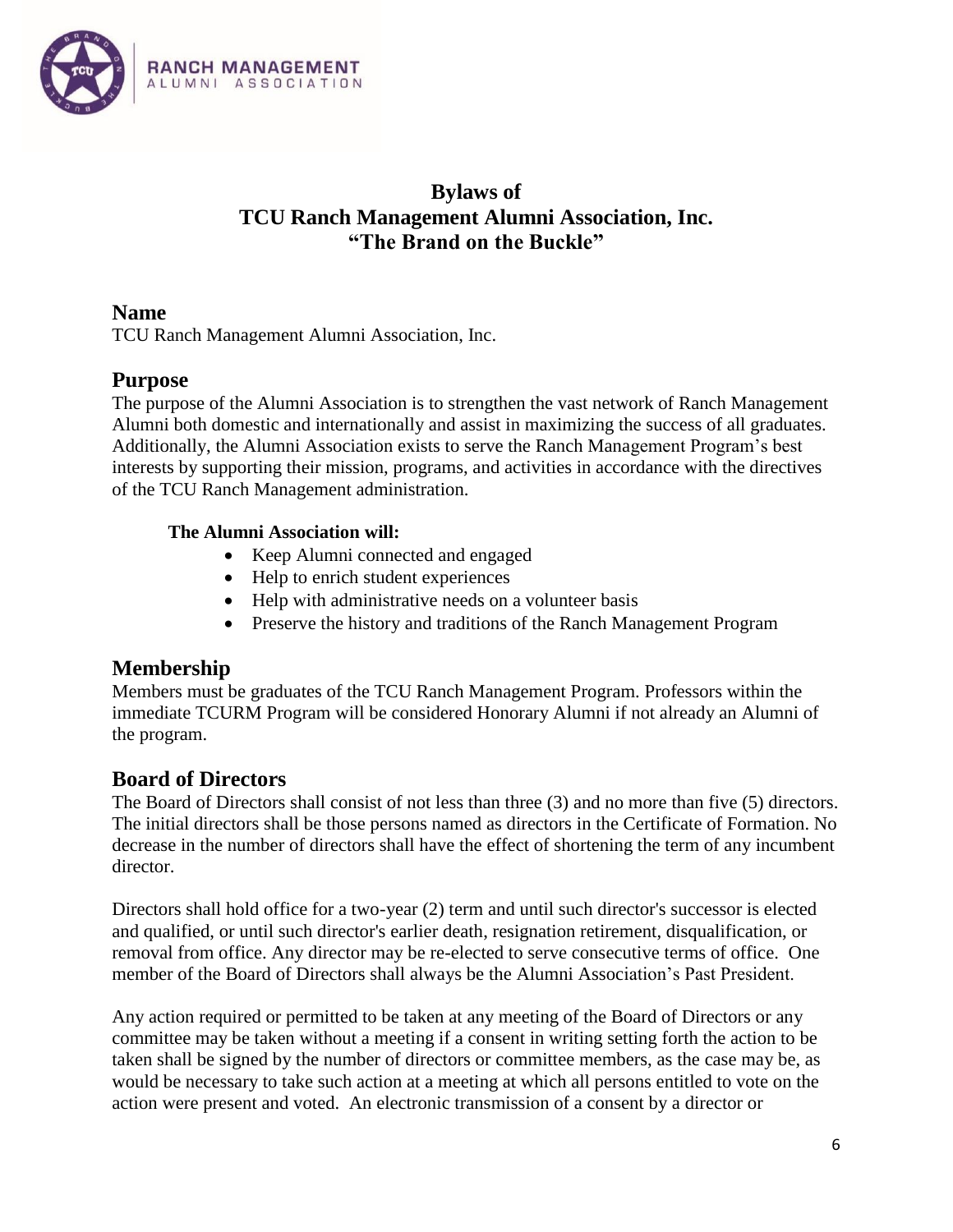

# **Bylaws of TCU Ranch Management Alumni Association, Inc. "The Brand on the Buckle"**

### **Name**

TCU Ranch Management Alumni Association, Inc.

## **Purpose**

The purpose of the Alumni Association is to strengthen the vast network of Ranch Management Alumni both domestic and internationally and assist in maximizing the success of all graduates. Additionally, the Alumni Association exists to serve the Ranch Management Program's best interests by supporting their mission, programs, and activities in accordance with the directives of the TCU Ranch Management administration.

### **The Alumni Association will:**

- Keep Alumni connected and engaged
- Help to enrich student experiences
- Help with administrative needs on a volunteer basis
- Preserve the history and traditions of the Ranch Management Program

# **Membership**

Members must be graduates of the TCU Ranch Management Program. Professors within the immediate TCURM Program will be considered Honorary Alumni if not already an Alumni of the program.

# **Board of Directors**

The Board of Directors shall consist of not less than three (3) and no more than five (5) directors. The initial directors shall be those persons named as directors in the Certificate of Formation. No decrease in the number of directors shall have the effect of shortening the term of any incumbent director.

Directors shall hold office for a two-year (2) term and until such director's successor is elected and qualified, or until such director's earlier death, resignation retirement, disqualification, or removal from office. Any director may be re-elected to serve consecutive terms of office. One member of the Board of Directors shall always be the Alumni Association's Past President.

Any action required or permitted to be taken at any meeting of the Board of Directors or any committee may be taken without a meeting if a consent in writing setting forth the action to be taken shall be signed by the number of directors or committee members, as the case may be, as would be necessary to take such action at a meeting at which all persons entitled to vote on the action were present and voted. An electronic transmission of a consent by a director or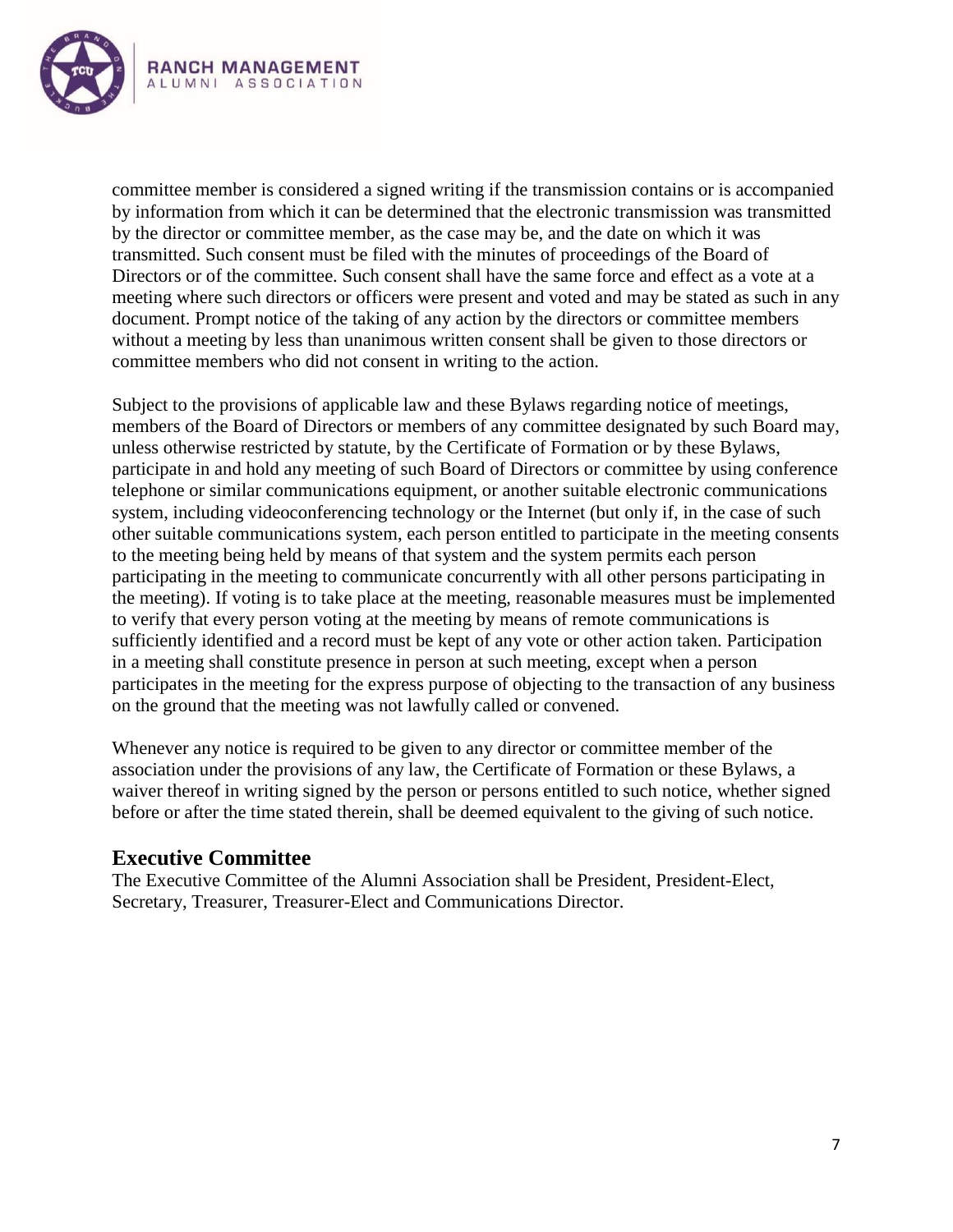

committee member is considered a signed writing if the transmission contains or is accompanied by information from which it can be determined that the electronic transmission was transmitted by the director or committee member, as the case may be, and the date on which it was transmitted. Such consent must be filed with the minutes of proceedings of the Board of Directors or of the committee. Such consent shall have the same force and effect as a vote at a meeting where such directors or officers were present and voted and may be stated as such in any document. Prompt notice of the taking of any action by the directors or committee members without a meeting by less than unanimous written consent shall be given to those directors or committee members who did not consent in writing to the action.

Subject to the provisions of applicable law and these Bylaws regarding notice of meetings, members of the Board of Directors or members of any committee designated by such Board may, unless otherwise restricted by statute, by the Certificate of Formation or by these Bylaws, participate in and hold any meeting of such Board of Directors or committee by using conference telephone or similar communications equipment, or another suitable electronic communications system, including videoconferencing technology or the Internet (but only if, in the case of such other suitable communications system, each person entitled to participate in the meeting consents to the meeting being held by means of that system and the system permits each person participating in the meeting to communicate concurrently with all other persons participating in the meeting). If voting is to take place at the meeting, reasonable measures must be implemented to verify that every person voting at the meeting by means of remote communications is sufficiently identified and a record must be kept of any vote or other action taken. Participation in a meeting shall constitute presence in person at such meeting, except when a person participates in the meeting for the express purpose of objecting to the transaction of any business on the ground that the meeting was not lawfully called or convened.

Whenever any notice is required to be given to any director or committee member of the association under the provisions of any law, the Certificate of Formation or these Bylaws, a waiver thereof in writing signed by the person or persons entitled to such notice, whether signed before or after the time stated therein, shall be deemed equivalent to the giving of such notice.

### **Executive Committee**

The Executive Committee of the Alumni Association shall be President, President-Elect, Secretary, Treasurer, Treasurer-Elect and Communications Director.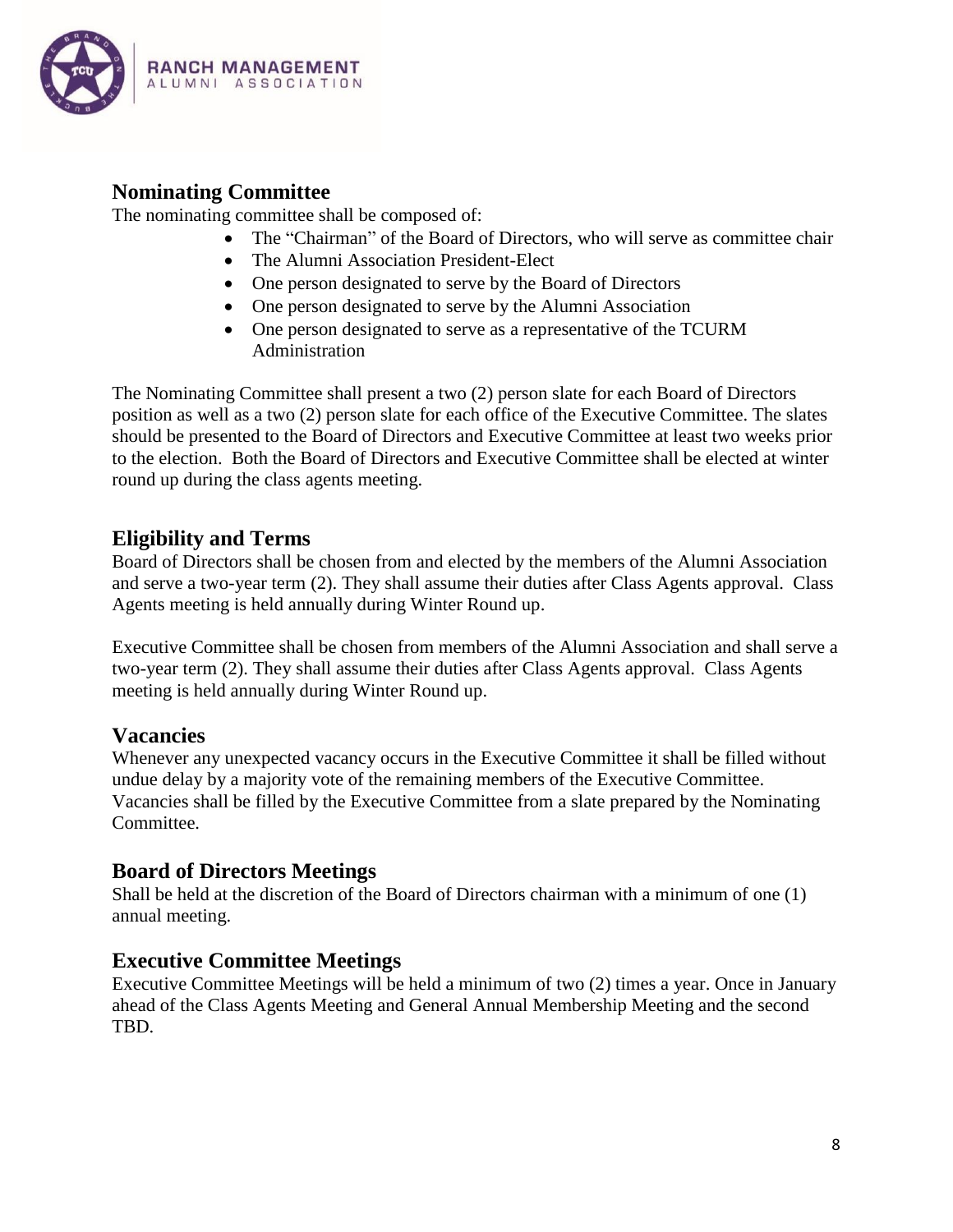

# **Nominating Committee**

The nominating committee shall be composed of:

- The "Chairman" of the Board of Directors, who will serve as committee chair
- The Alumni Association President-Elect
- One person designated to serve by the Board of Directors
- One person designated to serve by the Alumni Association
- One person designated to serve as a representative of the TCURM Administration

The Nominating Committee shall present a two (2) person slate for each Board of Directors position as well as a two (2) person slate for each office of the Executive Committee. The slates should be presented to the Board of Directors and Executive Committee at least two weeks prior to the election. Both the Board of Directors and Executive Committee shall be elected at winter round up during the class agents meeting.

### **Eligibility and Terms**

Board of Directors shall be chosen from and elected by the members of the Alumni Association and serve a two-year term (2). They shall assume their duties after Class Agents approval. Class Agents meeting is held annually during Winter Round up.

Executive Committee shall be chosen from members of the Alumni Association and shall serve a two-year term (2). They shall assume their duties after Class Agents approval. Class Agents meeting is held annually during Winter Round up.

### **Vacancies**

Whenever any unexpected vacancy occurs in the Executive Committee it shall be filled without undue delay by a majority vote of the remaining members of the Executive Committee. Vacancies shall be filled by the Executive Committee from a slate prepared by the Nominating Committee.

### **Board of Directors Meetings**

Shall be held at the discretion of the Board of Directors chairman with a minimum of one (1) annual meeting.

### **Executive Committee Meetings**

Executive Committee Meetings will be held a minimum of two (2) times a year. Once in January ahead of the Class Agents Meeting and General Annual Membership Meeting and the second TBD.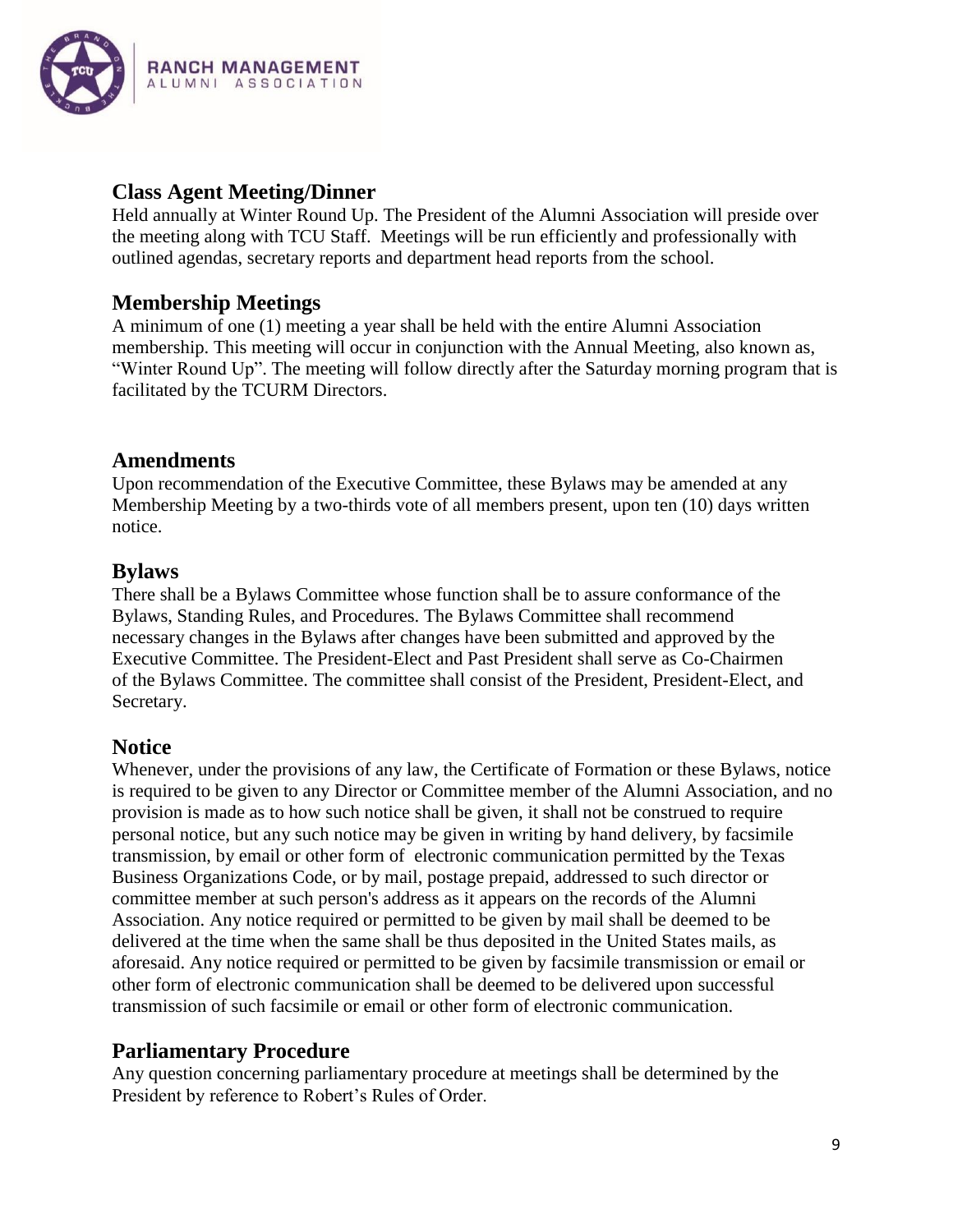

## **Class Agent Meeting/Dinner**

Held annually at Winter Round Up. The President of the Alumni Association will preside over the meeting along with TCU Staff. Meetings will be run efficiently and professionally with outlined agendas, secretary reports and department head reports from the school.

# **Membership Meetings**

A minimum of one (1) meeting a year shall be held with the entire Alumni Association membership. This meeting will occur in conjunction with the Annual Meeting, also known as, "Winter Round Up". The meeting will follow directly after the Saturday morning program that is facilitated by the TCURM Directors.

# **Amendments**

Upon recommendation of the Executive Committee, these Bylaws may be amended at any Membership Meeting by a two-thirds vote of all members present, upon ten (10) days written notice.

# **Bylaws**

There shall be a Bylaws Committee whose function shall be to assure conformance of the Bylaws, Standing Rules, and Procedures. The Bylaws Committee shall recommend necessary changes in the Bylaws after changes have been submitted and approved by the Executive Committee. The President-Elect and Past President shall serve as Co-Chairmen of the Bylaws Committee. The committee shall consist of the President, President-Elect, and Secretary.

# **Notice**

Whenever, under the provisions of any law, the Certificate of Formation or these Bylaws, notice is required to be given to any Director or Committee member of the Alumni Association, and no provision is made as to how such notice shall be given, it shall not be construed to require personal notice, but any such notice may be given in writing by hand delivery, by facsimile transmission, by email or other form of electronic communication permitted by the Texas Business Organizations Code, or by mail, postage prepaid, addressed to such director or committee member at such person's address as it appears on the records of the Alumni Association. Any notice required or permitted to be given by mail shall be deemed to be delivered at the time when the same shall be thus deposited in the United States mails, as aforesaid. Any notice required or permitted to be given by facsimile transmission or email or other form of electronic communication shall be deemed to be delivered upon successful transmission of such facsimile or email or other form of electronic communication.

# **Parliamentary Procedure**

Any question concerning parliamentary procedure at meetings shall be determined by the President by reference to Robert's Rules of Order.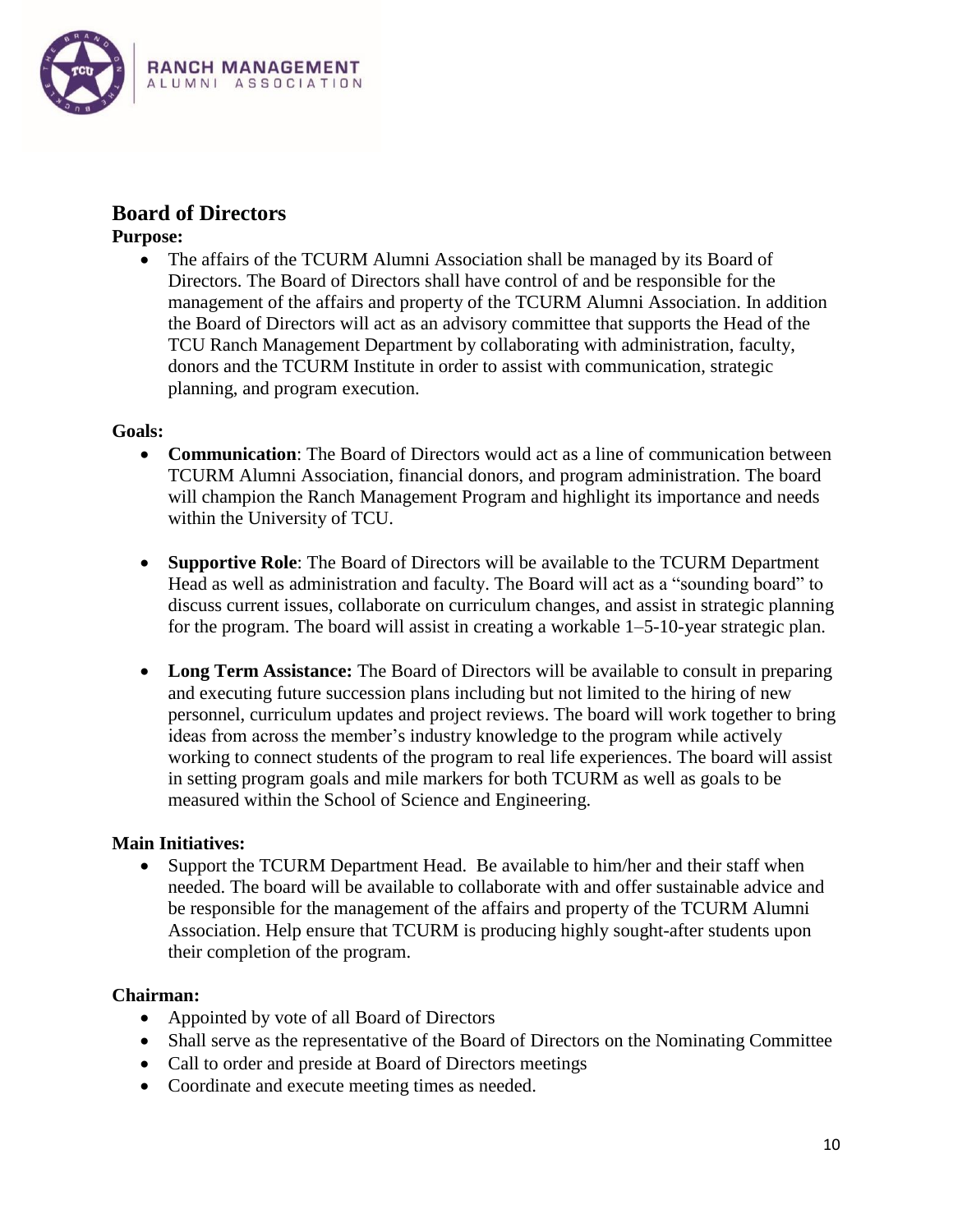

## **Board of Directors**

**Purpose:**

• The affairs of the TCURM Alumni Association shall be managed by its Board of Directors. The Board of Directors shall have control of and be responsible for the management of the affairs and property of the TCURM Alumni Association. In addition the Board of Directors will act as an advisory committee that supports the Head of the TCU Ranch Management Department by collaborating with administration, faculty, donors and the TCURM Institute in order to assist with communication, strategic planning, and program execution.

#### **Goals:**

- **Communication**: The Board of Directors would act as a line of communication between TCURM Alumni Association, financial donors, and program administration. The board will champion the Ranch Management Program and highlight its importance and needs within the University of TCU.
- **Supportive Role**: The Board of Directors will be available to the TCURM Department Head as well as administration and faculty. The Board will act as a "sounding board" to discuss current issues, collaborate on curriculum changes, and assist in strategic planning for the program. The board will assist in creating a workable 1–5-10-year strategic plan.
- Long Term Assistance: The Board of Directors will be available to consult in preparing and executing future succession plans including but not limited to the hiring of new personnel, curriculum updates and project reviews. The board will work together to bring ideas from across the member's industry knowledge to the program while actively working to connect students of the program to real life experiences. The board will assist in setting program goals and mile markers for both TCURM as well as goals to be measured within the School of Science and Engineering.

#### **Main Initiatives:**

 Support the TCURM Department Head. Be available to him/her and their staff when needed. The board will be available to collaborate with and offer sustainable advice and be responsible for the management of the affairs and property of the TCURM Alumni Association. Help ensure that TCURM is producing highly sought-after students upon their completion of the program.

#### **Chairman:**

- Appointed by vote of all Board of Directors
- Shall serve as the representative of the Board of Directors on the Nominating Committee
- Call to order and preside at Board of Directors meetings
- Coordinate and execute meeting times as needed.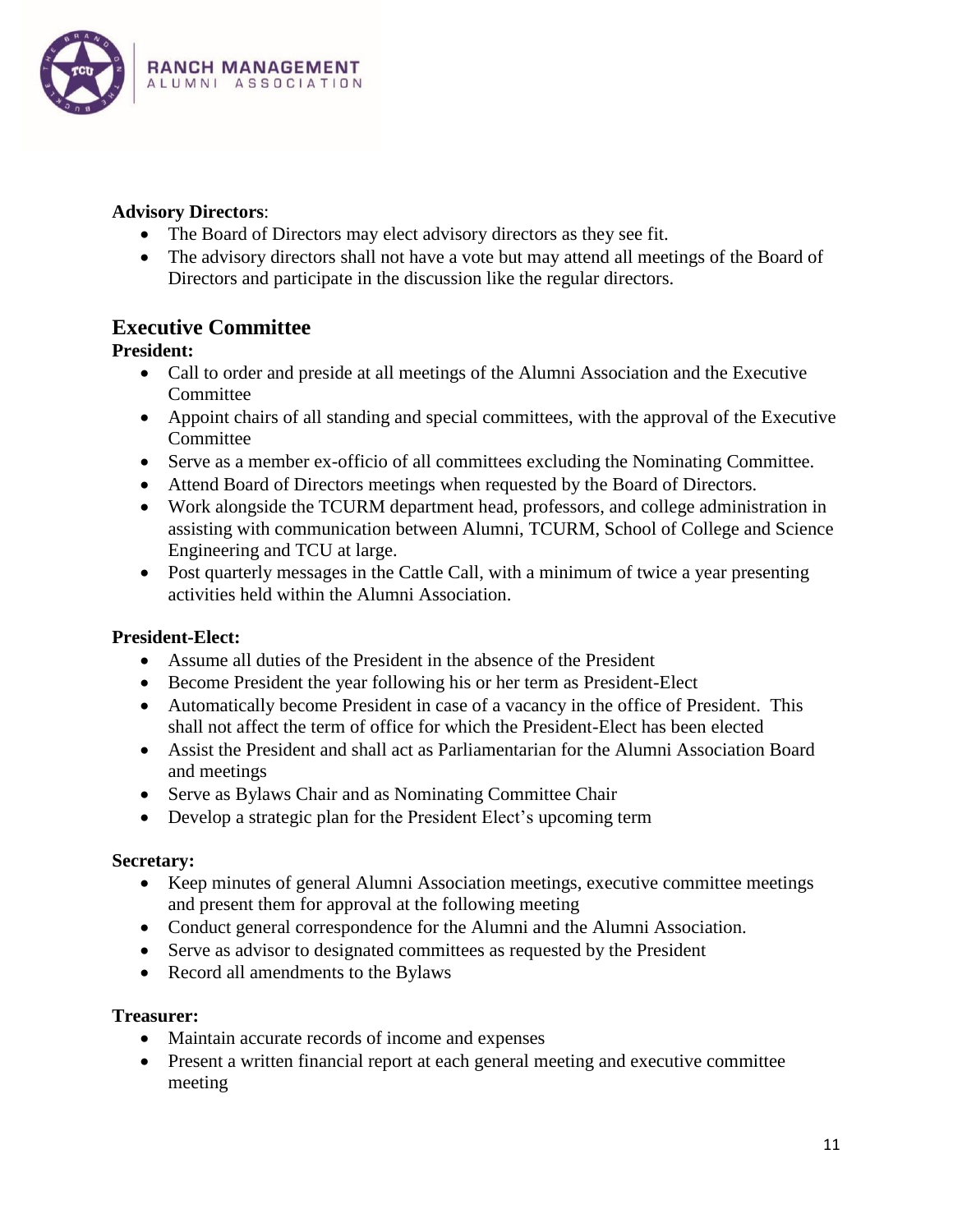

### **Advisory Directors**:

- The Board of Directors may elect advisory directors as they see fit.
- The advisory directors shall not have a vote but may attend all meetings of the Board of Directors and participate in the discussion like the regular directors.

# **Executive Committee**

### **President:**

- Call to order and preside at all meetings of the Alumni Association and the Executive Committee
- Appoint chairs of all standing and special committees, with the approval of the Executive Committee
- Serve as a member ex-officio of all committees excluding the Nominating Committee.
- Attend Board of Directors meetings when requested by the Board of Directors.
- Work alongside the TCURM department head, professors, and college administration in assisting with communication between Alumni, TCURM, School of College and Science Engineering and TCU at large.
- Post quarterly messages in the Cattle Call, with a minimum of twice a year presenting activities held within the Alumni Association.

#### **President-Elect:**

- Assume all duties of the President in the absence of the President
- Become President the year following his or her term as President-Elect
- Automatically become President in case of a vacancy in the office of President. This shall not affect the term of office for which the President-Elect has been elected
- Assist the President and shall act as Parliamentarian for the Alumni Association Board and meetings
- Serve as Bylaws Chair and as Nominating Committee Chair
- Develop a strategic plan for the President Elect's upcoming term

#### **Secretary:**

- Keep minutes of general Alumni Association meetings, executive committee meetings and present them for approval at the following meeting
- Conduct general correspondence for the Alumni and the Alumni Association.
- Serve as advisor to designated committees as requested by the President
- Record all amendments to the Bylaws

#### **Treasurer:**

- Maintain accurate records of income and expenses
- Present a written financial report at each general meeting and executive committee meeting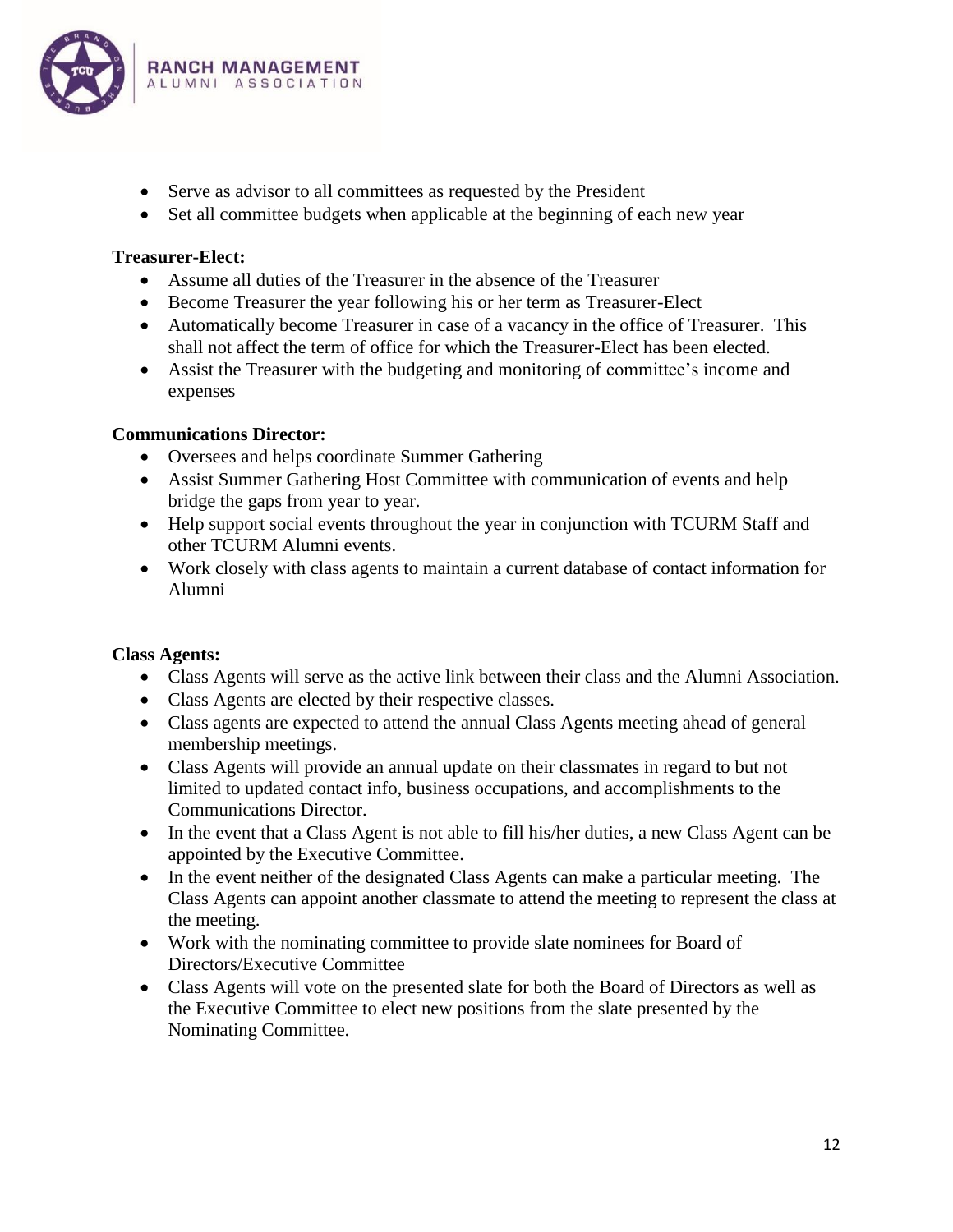

- Serve as advisor to all committees as requested by the President
- Set all committee budgets when applicable at the beginning of each new year

#### **Treasurer-Elect:**

- Assume all duties of the Treasurer in the absence of the Treasurer
- Become Treasurer the year following his or her term as Treasurer-Elect
- Automatically become Treasurer in case of a vacancy in the office of Treasurer. This shall not affect the term of office for which the Treasurer-Elect has been elected.
- Assist the Treasurer with the budgeting and monitoring of committee's income and expenses

#### **Communications Director:**

- Oversees and helps coordinate Summer Gathering
- Assist Summer Gathering Host Committee with communication of events and help bridge the gaps from year to year.
- Help support social events throughout the year in conjunction with TCURM Staff and other TCURM Alumni events.
- Work closely with class agents to maintain a current database of contact information for Alumni

#### **Class Agents:**

- Class Agents will serve as the active link between their class and the Alumni Association.
- Class Agents are elected by their respective classes.
- Class agents are expected to attend the annual Class Agents meeting ahead of general membership meetings.
- Class Agents will provide an annual update on their classmates in regard to but not limited to updated contact info, business occupations, and accomplishments to the Communications Director.
- In the event that a Class Agent is not able to fill his/her duties, a new Class Agent can be appointed by the Executive Committee.
- In the event neither of the designated Class Agents can make a particular meeting. The Class Agents can appoint another classmate to attend the meeting to represent the class at the meeting.
- Work with the nominating committee to provide slate nominees for Board of Directors/Executive Committee
- Class Agents will vote on the presented slate for both the Board of Directors as well as the Executive Committee to elect new positions from the slate presented by the Nominating Committee.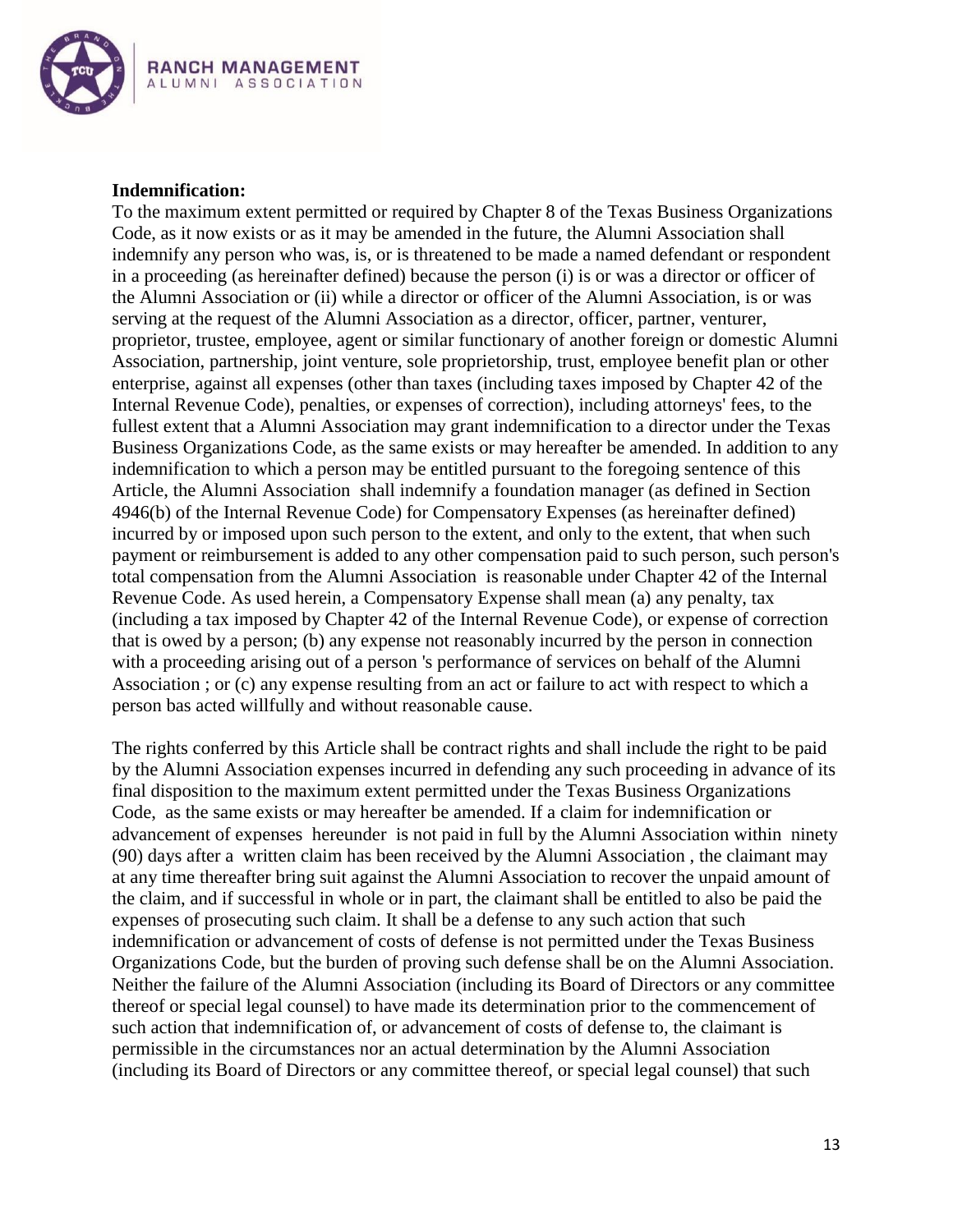

#### **Indemnification:**

To the maximum extent permitted or required by Chapter 8 of the Texas Business Organizations Code, as it now exists or as it may be amended in the future, the Alumni Association shall indemnify any person who was, is, or is threatened to be made a named defendant or respondent in a proceeding (as hereinafter defined) because the person (i) is or was a director or officer of the Alumni Association or (ii) while a director or officer of the Alumni Association, is or was serving at the request of the Alumni Association as a director, officer, partner, venturer, proprietor, trustee, employee, agent or similar functionary of another foreign or domestic Alumni Association, partnership, joint venture, sole proprietorship, trust, employee benefit plan or other enterprise, against all expenses (other than taxes (including taxes imposed by Chapter 42 of the Internal Revenue Code), penalties, or expenses of correction), including attorneys' fees, to the fullest extent that a Alumni Association may grant indemnification to a director under the Texas Business Organizations Code, as the same exists or may hereafter be amended. In addition to any indemnification to which a person may be entitled pursuant to the foregoing sentence of this Article, the Alumni Association shall indemnify a foundation manager (as defined in Section 4946(b) of the Internal Revenue Code) for Compensatory Expenses (as hereinafter defined) incurred by or imposed upon such person to the extent, and only to the extent, that when such payment or reimbursement is added to any other compensation paid to such person, such person's total compensation from the Alumni Association is reasonable under Chapter 42 of the Internal Revenue Code. As used herein, a Compensatory Expense shall mean (a) any penalty, tax (including a tax imposed by Chapter 42 of the Internal Revenue Code), or expense of correction that is owed by a person; (b) any expense not reasonably incurred by the person in connection with a proceeding arising out of a person 's performance of services on behalf of the Alumni Association ; or (c) any expense resulting from an act or failure to act with respect to which a person bas acted willfully and without reasonable cause.

The rights conferred by this Article shall be contract rights and shall include the right to be paid by the Alumni Association expenses incurred in defending any such proceeding in advance of its final disposition to the maximum extent permitted under the Texas Business Organizations Code, as the same exists or may hereafter be amended. If a claim for indemnification or advancement of expenses hereunder is not paid in full by the Alumni Association within ninety (90) days after a written claim has been received by the Alumni Association , the claimant may at any time thereafter bring suit against the Alumni Association to recover the unpaid amount of the claim, and if successful in whole or in part, the claimant shall be entitled to also be paid the expenses of prosecuting such claim. It shall be a defense to any such action that such indemnification or advancement of costs of defense is not permitted under the Texas Business Organizations Code, but the burden of proving such defense shall be on the Alumni Association. Neither the failure of the Alumni Association (including its Board of Directors or any committee thereof or special legal counsel) to have made its determination prior to the commencement of such action that indemnification of, or advancement of costs of defense to, the claimant is permissible in the circumstances nor an actual determination by the Alumni Association (including its Board of Directors or any committee thereof, or special legal counsel) that such